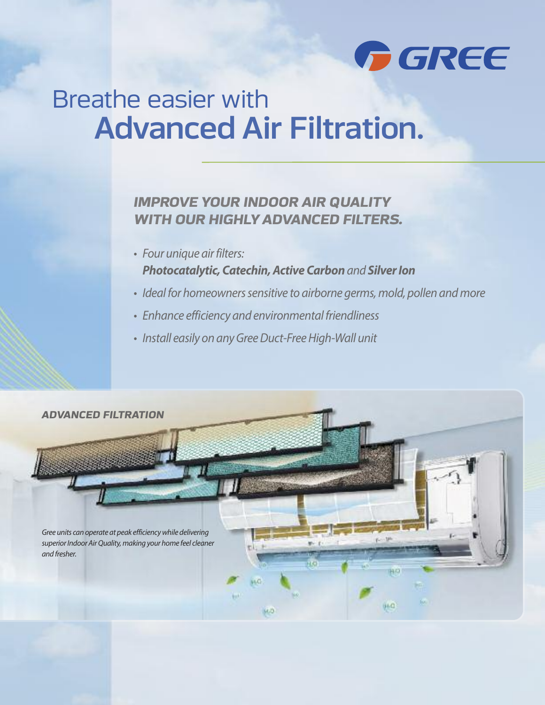

# Breathe easier with Advanced Air Filtration.

### *IMPROVE YOUR INDOOR AIR QUALITY WITH OUR HIGHLYADVANCED FILTERS.*

- Four unique air filters: **Photocatalytic, Catechin, Active Carbon** and **Silver Ion**
- Ideal for homeowners sensitive to airborne germs, mold, pollen and more
- Enhance efficiency and environmental friendliness
- Install easily on any Gree Duct-Free High-Wall unit